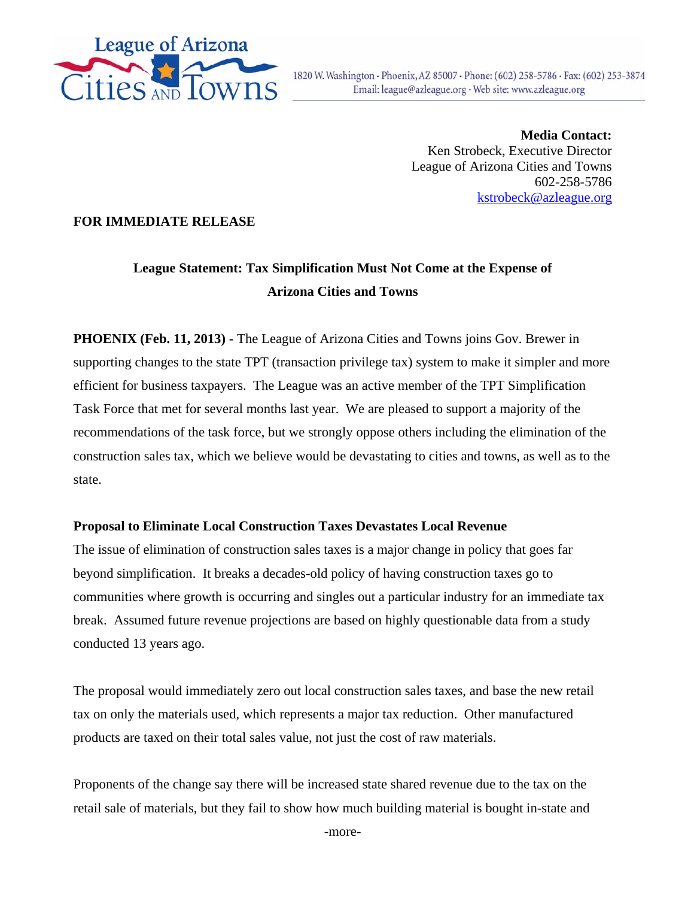

**Media Contact:**  Ken Strobeck, Executive Director League of Arizona Cities and Towns 602-258-5786 kstrobeck@azleague.org

## **FOR IMMEDIATE RELEASE**

# **League Statement: Tax Simplification Must Not Come at the Expense of Arizona Cities and Towns**

**PHOENIX (Feb. 11, 2013) -** The League of Arizona Cities and Towns joins Gov. Brewer in supporting changes to the state TPT (transaction privilege tax) system to make it simpler and more efficient for business taxpayers. The League was an active member of the TPT Simplification Task Force that met for several months last year. We are pleased to support a majority of the recommendations of the task force, but we strongly oppose others including the elimination of the construction sales tax, which we believe would be devastating to cities and towns, as well as to the state.

## **Proposal to Eliminate Local Construction Taxes Devastates Local Revenue**

The issue of elimination of construction sales taxes is a major change in policy that goes far beyond simplification. It breaks a decades-old policy of having construction taxes go to communities where growth is occurring and singles out a particular industry for an immediate tax break. Assumed future revenue projections are based on highly questionable data from a study conducted 13 years ago.

The proposal would immediately zero out local construction sales taxes, and base the new retail tax on only the materials used, which represents a major tax reduction. Other manufactured products are taxed on their total sales value, not just the cost of raw materials.

Proponents of the change say there will be increased state shared revenue due to the tax on the retail sale of materials, but they fail to show how much building material is bought in-state and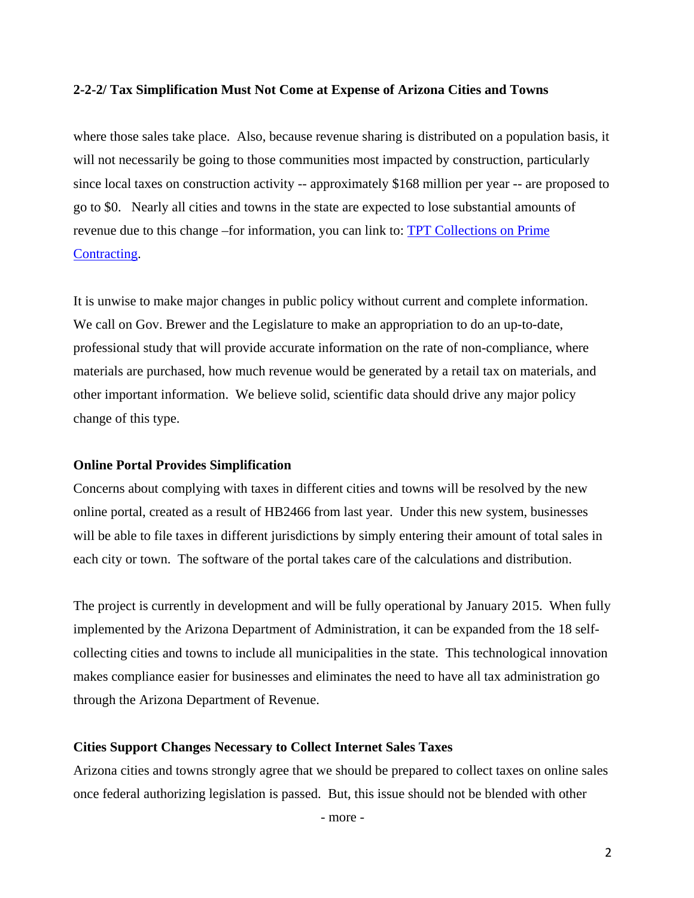#### **2-2-2/ Tax Simplification Must Not Come at Expense of Arizona Cities and Towns**

where those sales take place. Also, because revenue sharing is distributed on a population basis, it will not necessarily be going to those communities most impacted by construction, particularly since local taxes on construction activity -- approximately \$168 million per year -- are proposed to go to \$0. Nearly all cities and towns in the state are expected to lose substantial amounts of revenue due to this change –for information, you can link to: TPT Collections on Prime Contracting.

It is unwise to make major changes in public policy without current and complete information. We call on Gov. Brewer and the Legislature to make an appropriation to do an up-to-date, professional study that will provide accurate information on the rate of non-compliance, where materials are purchased, how much revenue would be generated by a retail tax on materials, and other important information. We believe solid, scientific data should drive any major policy change of this type.

#### **Online Portal Provides Simplification**

Concerns about complying with taxes in different cities and towns will be resolved by the new online portal, created as a result of HB2466 from last year. Under this new system, businesses will be able to file taxes in different jurisdictions by simply entering their amount of total sales in each city or town. The software of the portal takes care of the calculations and distribution.

The project is currently in development and will be fully operational by January 2015. When fully implemented by the Arizona Department of Administration, it can be expanded from the 18 selfcollecting cities and towns to include all municipalities in the state. This technological innovation makes compliance easier for businesses and eliminates the need to have all tax administration go through the Arizona Department of Revenue.

### **Cities Support Changes Necessary to Collect Internet Sales Taxes**

Arizona cities and towns strongly agree that we should be prepared to collect taxes on online sales once federal authorizing legislation is passed. But, this issue should not be blended with other

- more -